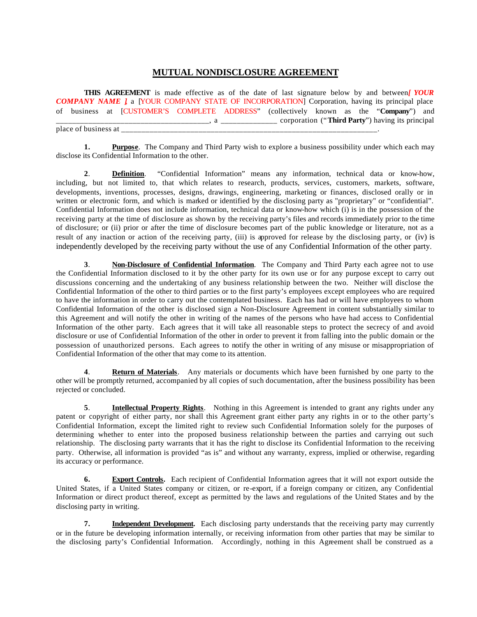## **MUTUAL NONDISCLOSURE AGREEMENT**

**THIS AGREEMENT** is made effective as of the date of last signature below by and between*[ YOUR*  **COMPANY NAME** *]*, a [YOUR COMPANY STATE OF INCORPORATION] Corporation, having its principal place of business at [CUSTOMER'S COMPLETE ADDRESS" (collectively known as the "**Company**") and \_\_\_\_\_\_\_\_\_\_\_\_\_\_\_\_\_\_\_\_\_\_\_\_\_\_\_\_\_\_\_\_\_\_\_\_\_\_, a \_\_\_\_\_\_\_\_\_\_\_\_\_\_ corporation ("**Third Party**") having its principal place of business at \_

**1. Purpose**. The Company and Third Party wish to explore a business possibility under which each may disclose its Confidential Information to the other.

**2**. **Definition**. "Confidential Information" means any information, technical data or know-how, including, but not limited to, that which relates to research, products, services, customers, markets, software, developments, inventions, processes, designs, drawings, engineering, marketing or finances, disclosed orally or in written or electronic form, and which is marked or identified by the disclosing party as "proprietary" or "confidential". Confidential Information does not include information, technical data or know-how which (i) is in the possession of the receiving party at the time of disclosure as shown by the receiving party's files and records immediately prior to the time of disclosure; or (ii) prior or after the time of disclosure becomes part of the public knowledge or literature, not as a result of any inaction or action of the receiving party, (iii) is approved for release by the disclosing party, or (iv) is independently developed by the receiving party without the use of any Confidential Information of the other party.

**3**. **Non-Disclosure of Confidential Information**. The Company and Third Party each agree not to use the Confidential Information disclosed to it by the other party for its own use or for any purpose except to carry out discussions concerning and the undertaking of any business relationship between the two. Neither will disclose the Confidential Information of the other to third parties or to the first party's employees except employees who are required to have the information in order to carry out the contemplated business. Each has had or will have employees to whom Confidential Information of the other is disclosed sign a Non-Disclosure Agreement in content substantially similar to this Agreement and will notify the other in writing of the names of the persons who have had access to Confidential Information of the other party. Each agrees that it will take all reasonable steps to protect the secrecy of and avoid disclosure or use of Confidential Information of the other in order to prevent it from falling into the public domain or the possession of unauthorized persons. Each agrees to notify the other in writing of any misuse or misappropriation of Confidential Information of the other that may come to its attention.

**4**. **Return of Materials**. Any materials or documents which have been furnished by one party to the other will be promptly returned, accompanied by all copies of such documentation, after the business possibility has been rejected or concluded.

**5**. **Intellectual Property Rights**. Nothing in this Agreement is intended to grant any rights under any patent or copyright of either party, nor shall this Agreement grant either party any rights in or to the other party's Confidential Information, except the limited right to review such Confidential Information solely for the purposes of determining whether to enter into the proposed business relationship between the parties and carrying out such relationship. The disclosing party warrants that it has the right to disclose its Confidential Information to the receiving party. Otherwise, all information is provided "as is" and without any warranty, express, implied or otherwise, regarding its accuracy or performance.

**6. Export Controls.** Each recipient of Confidential Information agrees that it will not export outside the United States, if a United States company or citizen, or re-export, if a foreign company or citizen, any Confidential Information or direct product thereof, except as permitted by the laws and regulations of the United States and by the disclosing party in writing.

**7. Independent Development.** Each disclosing party understands that the receiving party may currently or in the future be developing information internally, or receiving information from other parties that may be similar to the disclosing party's Confidential Information. Accordingly, nothing in this Agreement shall be construed as a